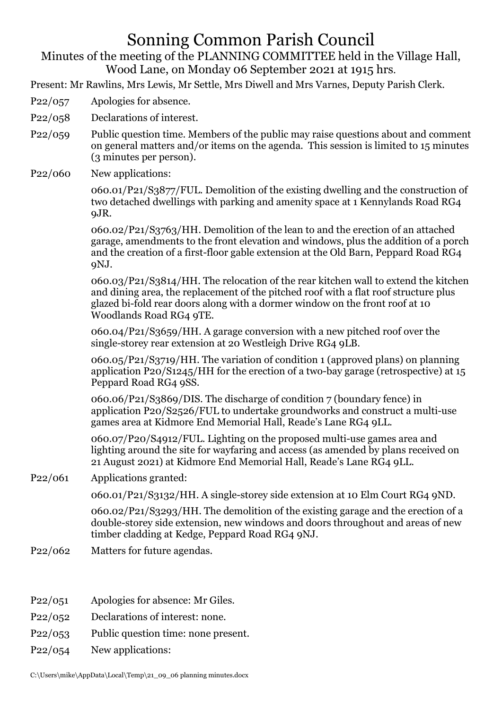## Sonning Common Parish Council

Minutes of the meeting of the PLANNING COMMITTEE held in the Village Hall, Wood Lane, on Monday 06 September 2021 at 1915 hrs.

Present: Mr Rawlins, Mrs Lewis, Mr Settle, Mrs Diwell and Mrs Varnes, Deputy Parish Clerk.

- P22/057 Apologies for absence.
- P22/058 Declarations of interest.
- P22/059 Public question time. Members of the public may raise questions about and comment on general matters and/or items on the agenda. This session is limited to 15 minutes (3 minutes per person).
- P<sub>22</sub>/060 New applications:

060.01/P21/S3877/FUL. Demolition of the existing dwelling and the construction of two detached dwellings with parking and amenity space at 1 Kennylands Road RG4 9JR.

060.02/P21/S3763/HH. Demolition of the lean to and the erection of an attached garage, amendments to the front elevation and windows, plus the addition of a porch and the creation of a first-floor gable extension at the Old Barn, Peppard Road RG4 9NJ.

060.03/P21/S3814/HH. The relocation of the rear kitchen wall to extend the kitchen and dining area, the replacement of the pitched roof with a flat roof structure plus glazed bi-fold rear doors along with a dormer window on the front roof at 10 Woodlands Road RG4 9TE.

060.04/P21/S3659/HH. A garage conversion with a new pitched roof over the single-storey rear extension at 20 Westleigh Drive RG4 9LB.

060.05/P21/S3719/HH. The variation of condition 1 (approved plans) on planning application P20/S1245/HH for the erection of a two-bay garage (retrospective) at 15 Peppard Road RG4 9SS.

060.06/P21/S3869/DIS. The discharge of condition 7 (boundary fence) in application P20/S2526/FUL to undertake groundworks and construct a multi-use games area at Kidmore End Memorial Hall, Reade's Lane RG4 9LL.

060.07/P20/S4912/FUL. Lighting on the proposed multi-use games area and lighting around the site for wayfaring and access (as amended by plans received on 21 August 2021) at Kidmore End Memorial Hall, Reade's Lane RG4 9LL.

P22/061 Applications granted:

060.01/P21/S3132/HH. A single-storey side extension at 10 Elm Court RG4 9ND.

060.02/P21/S3293/HH. The demolition of the existing garage and the erection of a double-storey side extension, new windows and doors throughout and areas of new timber cladding at Kedge, Peppard Road RG4 9NJ.

- P22/062 Matters for future agendas.
- P22/051 Apologies for absence: Mr Giles.
- P22/052 Declarations of interest: none.
- P22/053 Public question time: none present.
- P22/054 New applications: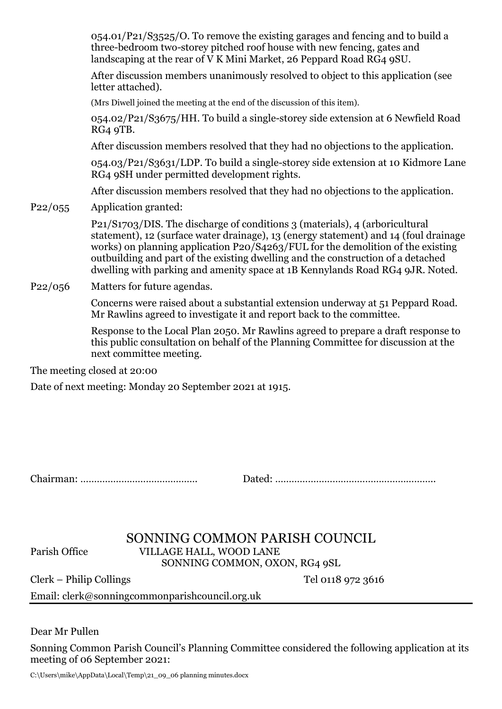054.01/P21/S3525/O. To remove the existing garages and fencing and to build a three-bedroom two-storey pitched roof house with new fencing, gates and landscaping at the rear of V K Mini Market, 26 Peppard Road RG4 9SU.

After discussion members unanimously resolved to object to this application (see letter attached).

(Mrs Diwell joined the meeting at the end of the discussion of this item).

054.02/P21/S3675/HH. To build a single-storey side extension at 6 Newfield Road RG4 9TB.

After discussion members resolved that they had no objections to the application.

054.03/P21/S3631/LDP. To build a single-storey side extension at 10 Kidmore Lane RG4 9SH under permitted development rights.

After discussion members resolved that they had no objections to the application.

P22/055 Application granted:

P21/S1703/DIS. The discharge of conditions 3 (materials), 4 (arboricultural statement), 12 (surface water drainage), 13 (energy statement) and 14 (foul drainage works) on planning application P20/S4263/FUL for the demolition of the existing outbuilding and part of the existing dwelling and the construction of a detached dwelling with parking and amenity space at 1B Kennylands Road RG4 9JR. Noted.

P22/056 Matters for future agendas.

Concerns were raised about a substantial extension underway at 51 Peppard Road. Mr Rawlins agreed to investigate it and report back to the committee.

Response to the Local Plan 2050. Mr Rawlins agreed to prepare a draft response to this public consultation on behalf of the Planning Committee for discussion at the next committee meeting.

The meeting closed at 20:00

Date of next meeting: Monday 20 September 2021 at 1915.

Chairman: ……………………………………. Dated: …………………………………………………..

## SONNING COMMON PARISH COUNCIL Parish Office VILLAGE HALL, WOOD LANE SONNING COMMON, OXON, RG4 9SL

Clerk – Philip Collings Tel 0118 972 3616

Email: clerk@sonningcommonparishcouncil.org.uk

Dear Mr Pullen

Sonning Common Parish Council's Planning Committee considered the following application at its meeting of 06 September 2021:

C:\Users\mike\AppData\Local\Temp\21\_09\_06 planning minutes.docx